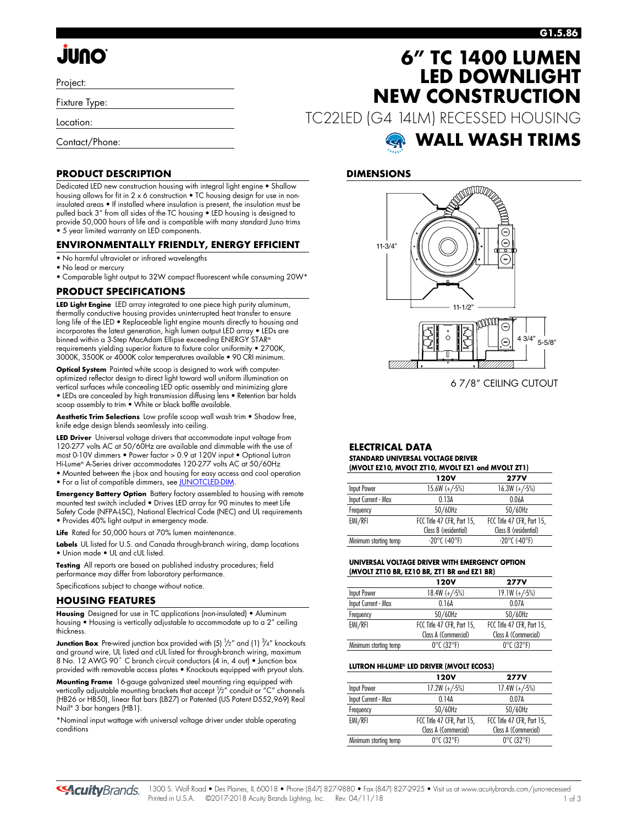# **JUNO**

Project:

Fixture Type:

Location:

Contact/Phone:

# **6" TC 1400 LUMEN LED DOWNLIGHT NEW CONSTRUCTION**

TC22LED (G4 14LM) RECESSED HOUSING

# **WALL WASH TRIMS**

## **DIMENSIONS**



6 7/8" CEILING CUTOUT

#### **ELECTRICAL DATA STANDARD UNIVERSAL VOLTAGE DRIVER (MVOLT EZ10, MVOLT ZT10, MVOLT EZ1 and MVOLT ZT1)**

|                       | $(MVOLI ELIO, MVOLI LIIO, MVOLI ELI GIO NIVOLI ZII)$ |                            |
|-----------------------|------------------------------------------------------|----------------------------|
|                       | 120V                                                 | <b>277V</b>                |
| Input Power           | $15.6W (+/-5%)$                                      | $16.3W (+/-5%)$            |
| Input Current - Max   | 0.13A                                                | 0.06A                      |
| Frequency             | 50/60Hz                                              | 50/60Hz                    |
| EMI/RFI               | FCC Title 47 CFR, Part 15,                           | FCC Title 47 CFR, Part 15, |
|                       | Class B (residential)                                | Class B (residential)      |
| Minimum starting temp | $-20^{\circ}$ C (-40°F)                              | $-20^{\circ}$ C (-40°F)    |
|                       |                                                      |                            |

#### **UNIVERSAL VOLTAGE DRIVER WITH EMERGENCY OPTION (MVOLT ZT10 BR, EZ10 BR, ZT1 BR and EZ1 BR)**

|                       | 120V                            | <b>277V</b>                     |
|-----------------------|---------------------------------|---------------------------------|
| Input Power           | $18.4W (+/5%)$                  | $19.1W (+/-5%)$                 |
| Input Current - Max   | 0.16A                           | 0.07A                           |
| Frequency             | 50/60Hz                         | 50/60Hz                         |
| EMI/RFI               | FCC Title 47 CFR, Part 15,      | FCC Title 47 CFR, Part 15,      |
|                       | Class A (Commercial)            | Class A (Commercial)            |
| Minimum starting temp | $0^{\circ}$ C (32 $^{\circ}$ F) | $0^{\circ}$ C (32 $^{\circ}$ F) |

#### **LUTRON HI-LUME® LED DRIVER (MVOLT ECOS3)**

|                       | 120V                            | <b>277V</b>                     |  |  |  |
|-----------------------|---------------------------------|---------------------------------|--|--|--|
| Input Power           | $17.2W (+/-5%)$                 | $17.4W (+/-5%)$                 |  |  |  |
| Input Current - Max   | 014A                            | 0.07A                           |  |  |  |
| Frequency             | 50/60Hz                         | 50/60Hz                         |  |  |  |
| EMI/RFI               | FCC Title 47 CFR, Part 15,      | FCC Title 47 CFR, Part 15,      |  |  |  |
|                       | Class A (Commercial)            | Class A (Commercial)            |  |  |  |
| Minimum starting temp | $0^{\circ}$ C (32 $^{\circ}$ F) | $0^{\circ}$ C (32 $^{\circ}$ F) |  |  |  |

### **PRODUCT DESCRIPTION**

Dedicated LED new construction housing with integral light engine • Shallow housing allows for fit in 2 x 6 construction • TC housing design for use in noninsulated areas • If installed where insulation is present, the insulation must be pulled back 3" from all sides of the TC housing • LED housing is designed to provide 50,000 hours of life and is compatible with many standard Juno trims • 5 year limited warranty on LED components.

### **ENVIRONMENTALLY FRIENDLY, ENERGY EFFICIENT**

- No harmful ultraviolet or infrared wavelengths
- No lead or mercury
- Comparable light output to 32W compact fluorescent while consuming 20W\*

### **PRODUCT SPECIFICATIONS**

**LED Light Engine** LED array integrated to one piece high purity aluminum, thermally conductive housing provides uninterrupted heat transfer to ensure long life of the LED • Replaceable light engine mounts directly to housing and incorporates the latest generation, high lumen output LED array • LEDs are binned within a 3-Step MacAdam Ellipse exceeding ENERGY STAR® requirements yielding superior fixture to fixture color uniformity • 2700K, 3000K, 3500K or 4000K color temperatures available • 90 CRI minimum.

**Optical System** Painted white scoop is designed to work with computeroptimized reflector design to direct light toward wall uniform illumination on vertical surfaces while concealing LED optic assembly and minimizing glare • LEDs are concealed by high transmission diffusing lens • Retention bar holds scoop assembly to trim  $\bullet$  White or black baffle available.

**Aesthetic Trim Selections** Low profile scoop wall wash trim • Shadow free, knife edge design blends seamlessly into ceiling.

**LED Driver** Universal voltage drivers that accommodate input voltage from 120-277 volts AC at 50/60Hz are available and dimmable with the use of most 0-10V dimmers • Power factor > 0.9 at 120V input • Optional Lutron Hi-Lume® A-Series driver accommodates 120-277 volts AC at 50/60Hz • Mounted between the j-box and housing for easy access and cool operation

• For a list of compatible dimmers, se[e JUNOTCLED-DIM.](http://www.acuitybrands.com/shell/-/media/Files/Acuity/Other/JUNOICLED-DIM.pdf)

**Emergency Battery Option** Battery factory assembled to housing with remote mounted test switch included • Drives LED array for 90 minutes to meet Life Safety Code (NFPA-LSC), National Electrical Code (NEC) and UL requirements • Provides 40% light output in emergency mode.

Life Rated for 50,000 hours at 70% lumen maintenance

**Labels** UL listed for U.S. and Canada through-branch wiring, damp locations • Union made • UL and cUL listed.

**Testing** All reports are based on published industry procedures; field performance may differ from laboratory performance.

Specifications subject to change without notice.

### **HOUSING FEATURES**

**Housing** Designed for use in TC applications (non-insulated) • Aluminum housing • Housing is vertically adjustable to accommodate up to a 2" ceiling thickness.

**Junction Box** Pre-wired junction box provided with (5) <sup>1</sup>/2" and (1) <sup>3</sup>/4" knockouts and ground wire, UL listed and cUL listed for through-branch wiring, maximum 8 No. 12 AWG 90° C branch circuit conductors (4 in, 4 out) • Junction box provided with removable access plates • Knockouts equipped with pryout slots.

**Mounting Frame** 16-gauge galvanized steel mounting ring equipped with vertically adjustable mounting brackets that accept 1 /2" conduit or "C" channels (HB26 or HB50), linear flat bars (LB27) or Patented (US Patent D552,969) Real Nail® 3 bar hangers (HB1).

\*Nominal input wattage with universal voltage driver under stable operating conditions

**SAcuity** Brands.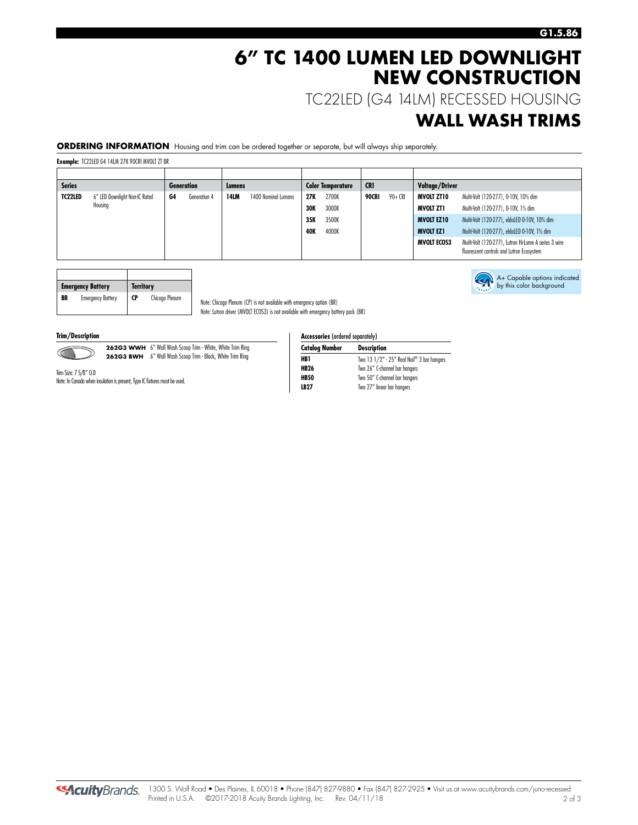# **6" TC 1400 LUMEN LED DOWNLIGHT NEW CONSTRUCTION**

TC22LED (G4 14LM) RECESSED HOUSING

# **WALL WASH TRIMS**

**ORDERING INFORMATION** Housing and trim can be ordered together or separate, but will always ship separately.

Note: Chicago Plenum (CP) is not available with emergency option (BR) Note: Lutron driver (MVOLT ECOS3) is not available with emergency battery pack (BR)

**Example:** TC22LED G4 14LM 27K 90CRI MVOLT ZT BR

| <b>Series</b><br><b>Generation</b> |                               | Lumens |              | <b>Color Temperature</b> |                     | <b>CRI</b> |       | Voltage/Driver |         |                    |                                                                                                   |
|------------------------------------|-------------------------------|--------|--------------|--------------------------|---------------------|------------|-------|----------------|---------|--------------------|---------------------------------------------------------------------------------------------------|
| TC22LED                            | 6" LED Downlight Non-IC Rated | G4     | Generation 4 | <b>14LM</b>              | 1400 Nominal Lumens | 27K        | 2700K | 90CRI          | 90+ CRI | MVOLT ZT10         | Multi-Volt (120-277), 0-10V, 10% dim                                                              |
|                                    | Housing                       |        |              |                          |                     | <b>30K</b> | 3000K |                |         | MVOLT ZT1          | Multi-Volt (120-277), 0-10V, 1% dim                                                               |
|                                    |                               |        |              |                          |                     | 35K        | 3500K |                |         | <b>MVOLT EZ10</b>  | Multi-Volt (120-277), eldoLED 0-10V, 10% dim                                                      |
|                                    |                               |        |              |                          |                     | <b>40K</b> | 4000K |                |         | <b>MVOLT EZ1</b>   | Multi-Volt (120-277), eldoLED 0-10V, 1% dim                                                       |
|                                    |                               |        |              |                          |                     |            |       |                |         | <b>MVOLT ECOS3</b> | Multi-Volt (120-277), Lutron Hi-Lume A series 3 wire<br>fluorescent controls and Lutron Ecosystem |

|    | <b>Emergency Battery</b> | <b>Territory</b> |                |
|----|--------------------------|------------------|----------------|
| BR | <b>Emergency Battery</b> | <b>CP</b>        | Chicago Plenum |

**Trim/Description** 



**262G3 WWH** 6" Wall Wash Scoop Trim - White, White Trim Ring **262G3 BWH** 6" Wall Wash Scoop Trim - Black, White Trim Ring

Trim Size: 7 5/8" O.D Note: In Canada when insulation is present, Type IC fixtures must be used.

| <b>Accessories (ordered separately)</b> |                                            |  |  |  |  |  |  |
|-----------------------------------------|--------------------------------------------|--|--|--|--|--|--|
| <b>Catalog Number</b>                   | <b>Description</b>                         |  |  |  |  |  |  |
| HB1                                     | Two 13 1/2" - 25" Real Nail® 3 bar hangers |  |  |  |  |  |  |
| <b>HB26</b>                             | Two 26" C-channel bar hangers              |  |  |  |  |  |  |
| <b>HB50</b>                             | Two 50" C-channel bar hangers              |  |  |  |  |  |  |

**LB27** Two 27" linear bar hangers